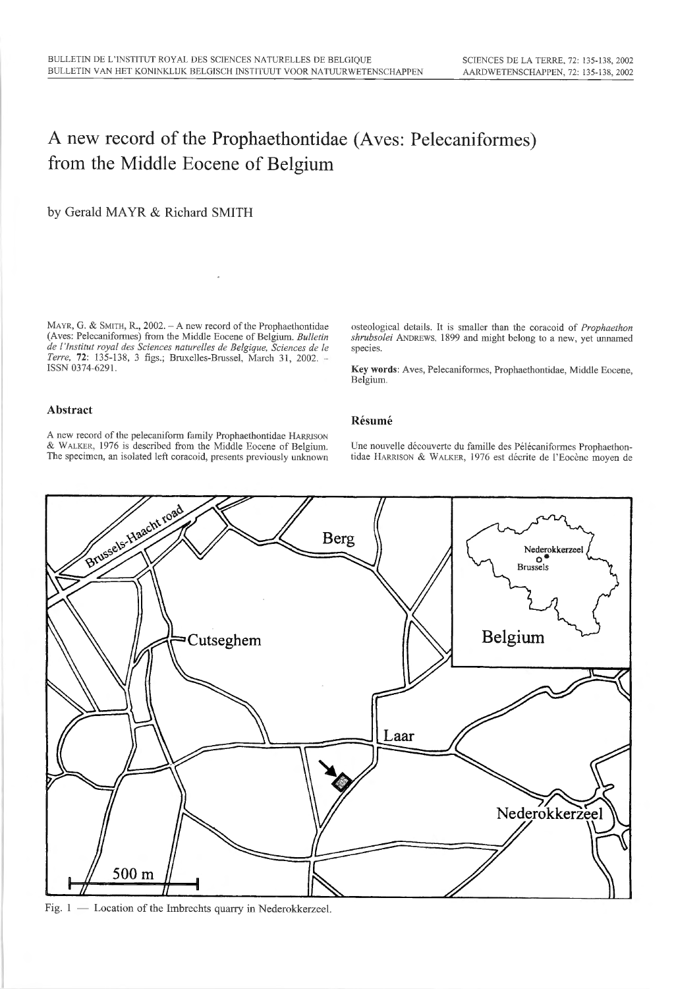# A new record of the Prophaethontidae (Aves: Pelecaniformes) from the Middle Eocene of Belgium

by Gerald MAYR & Richard SMITH

MAYR, G. & SMITH, R., 2002. - A new record of the Prophaethontidae (Aves: Pelecaniformes) from the Middle Eocene of Belgium. Bulletin de l'Institut royal des Sciences naturelles de Belgique, Sciences de le Terre, 72: 135-138, 3 figs.; Bruxelles-Brussel, March 31, 2002. -ISSN 0374-6291.

osteological details. It is smaller than the coracoid of Prophaethon shrubsolei ANDREWS, 1899 and might belong to a new, yet unnamed species.

Key words: Aves. Pelecaniformes, Prophaethontidae, Middle Eocene, Belgium.

# Abstract

<sup>A</sup> new record of the pelecaniform family Prophaethontidae Harrison & Walker, <sup>1976</sup> is described from the Middle Eocene of Belgium. The specimen, an isolated left coracoid, presents previously unknown

Une nouvelle découverte du famille des Pélécaniformes Prophaethon tidae Harrison & Walker, <sup>1976</sup> est décrite de l'Eocène moyen de



Résumé

- Location of the Imbrechts quarry in Nederokkerzeel.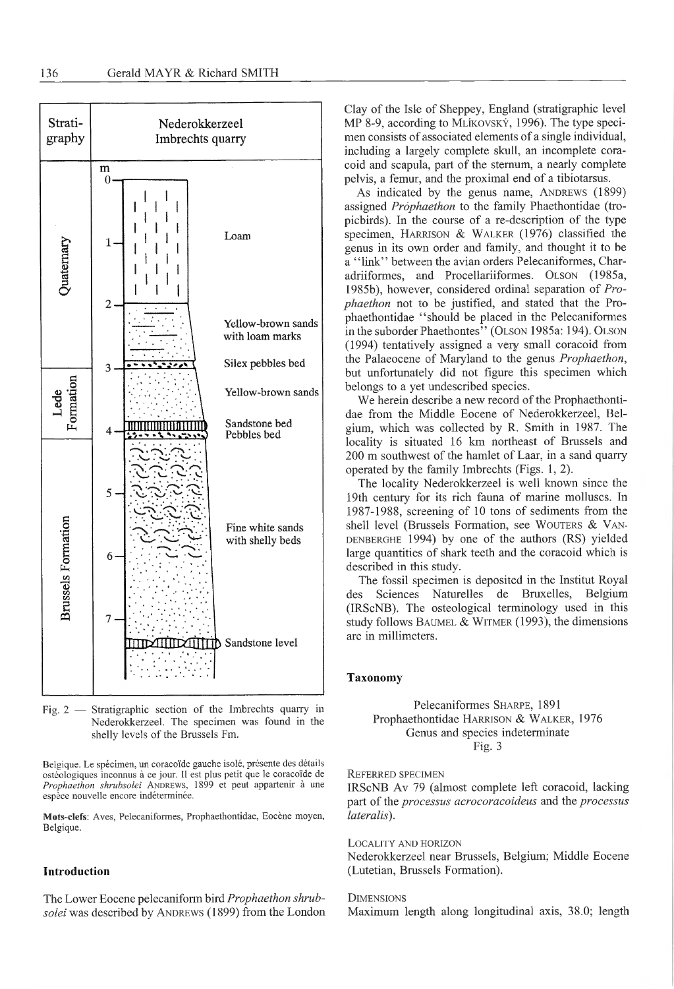

Fig. <sup>2</sup> — Stratigraphie section of the Imbrechts quarry in Nederokkerzeel. The specimen was found in the shelly levels of the Brussels Fm.

Belgique. Le spécimen, un coracoïde gauche isolé, présente des détails ostéologiques inconnus <sup>à</sup> ce jour. <sup>11</sup> est plus petit que le coracoïde de Prophaethon shrubsolei ANDREWS, 1899 et peut appartenir à une espèce nouvelle encore indéterminée.

Mots-clefs: Aves. Pelecaniformes, Prophaethontidae, Eocène moyen, Belgique.

## Introduction

The Lower Eocene pelecaniform bird Prophaethon shrubsolei was described by ANDREWS (1899) from the London Clay of the Isle of Sheppey, England (stratigraphie level MP 8-9, according to MLIKOVSKY, 1996). The type specimen consists of associated elements of <sup>a</sup> single individual, including a largely complete skull, an incomplete coracoid and scapula, part of the sternum, <sup>a</sup> nearly complete pelvis, <sup>a</sup> fémur, and the proximal end of <sup>a</sup> tibiotarsus.

As indicated by the genus name, ANDREWS (1899) assigned Prophaethon to the family Phaethontidae (tropicbirds). In the course of <sup>a</sup> re-description of the type specimen, Harrison & Walker (1976) classified the genus in its own order and family, and thought it to be <sup>a</sup> "link" between the avian orders Pelecaniformes, Charadriiformes, and Procellariiformes. Olson (1985a, 1985b), however, considered ordinal separation of Prophaethon not to be justified, and stated that the Prophaethontidae "should be placed in the Pelecaniformes in the suborder Phaethontes" (OLSON 1985a: 194). OLSON (1994) tentatively assigned a very small coracoid from the Palaeocene of Maryland to the genus Prophaethon, but unfortunately did not figure this specimen which belongs to a yet undescribed species.

We herein describe a new record of the Prophaethontidae from the Middle Eocene of Nederokkerzeel, Belgium, which was collected by R. Smith in 1987. The locality is situated 16 km northeast of Brussels and 200 m southwest of the hamlet of Laar, in <sup>a</sup> sand quarry operated by the family Imbrechts (Figs. 1, 2).

The locality Nederokkerzeel is well known since the 19th century for its rich fauna of marine molluscs. In 1987-1988, screening of <sup>10</sup> tons of sediments from the shell level (Brussels Formation, see WOUTERS & VAN-DENBERGHE 1994) by one of the authors (RS) yielded large quantities of shark teeth and the coracoid which is described in this study.

The fossil specimen is deposited in the Institut Royal<br>des Sciences Naturelles de Bruxelles. Belgium Sciences Naturelles de Bruxelles, Belgium (IRScNB). The osteological terminology used in this study follows BAUMEL  $&$  WITMER (1993), the dimensions are in millimeters.

## Taxonomy

Pelecaniformes SHARPE, 1891 Prophaethontidae Harrison & Walker, 1976 Genus and species indeterminate Fig. 3

## Referred specimen

IRScNB Av 79 (almost complete left coracoid, lacking part of the processus acrocoracoideus and the processus lateralis).

Locality and horizon

Nederokkerzeel near Brussels, Belgium; Middle Eocene (Lutetian, Brussels Formation).

#### **DIMENSIONS**

Maximum length along longitudinal axis, 38.0; length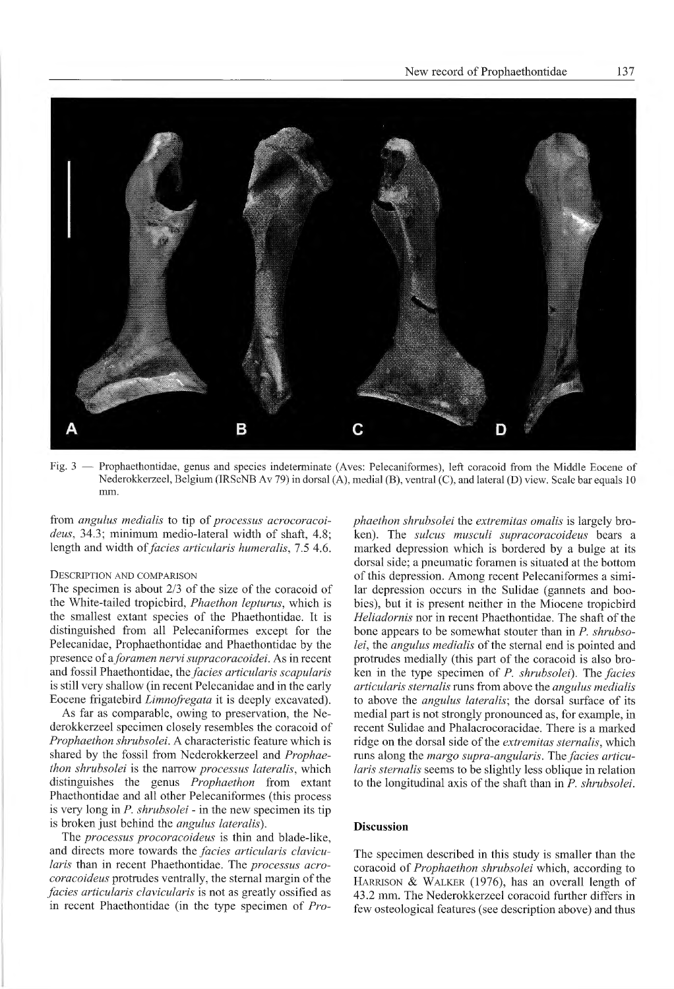

Fig. <sup>3</sup> — Prophaethontidae, genus and species indeterminate (Aves: Pelecaniformes), left coracoid from the Middle Eocene of Nederokkerzeel, Belgium (IRScNB Av 79) in dorsal (A), medial (B), ventral (C), and lateral (D) view. Scale bar equals 10 mm.

from angulus medialis to tip of processus acrocoracoideus, 34.3; minimum medio-lateral width of shaft, 4.8; length and width of *facies articularis humeralis*, 7.5 4.6.

## Description and comparison

The specimen is about 2/3 of the size of the coracoid of the White-tailed tropicbird, Phaethon lepturus, which is the smallest extant species of the Phaethontidae. It is distinguished from all Pelecaniformes except for the Pelecanidae, Prophaethontidae and Phaethontidae by the presence of a foramen nervi supracoracoidei. As in recent and fossil Phaethontidae, the facies articularis scapularis is still very shallow (in recent Pelecanidae and in the early Eocene frigatebird Limnofregata it is deeply excavated).

As far as comparable, owing to preservation, the Nederokkerzeel specimen closely resembles the coracoid of Prophaethon shrubsolei. A characteristic feature which is shared by the fossil from Nederokkerzeel and Prophaethon shrubsolei is the narrow processus lateralis, which distinguishes the genus Prophaethon from extant Phaethontidae and all other Pelecaniformes (this process is very long in *P. shrubsolei* - in the new specimen its tip is broken just behind the angulus lateralis).

The processus procoracoideus is thin and blade-like, and directs more towards the facies articularis clavicularis than in recent Phaethontidae. The processus acrocoracoideus protrudes ventrally, the sternal margin of the facies articularis clavicularis is not as greatly ossified as in recent Phaethontidae (in the type specimen of  $Pro-$ 

phaethon shrubsolei the extremitas omalis is largely broken). The sulcus musculi supracoracoideus bears a marked dépression which is bordered by <sup>a</sup> bulge at its dorsal side; <sup>a</sup> pneumatic foramen is situated at the bottom of this dépression. Among recent Pelecaniformes <sup>a</sup> similar dépression occurs in the Sulidae (gannets and boobies), but it is present neither in the Miocene tropicbird Heliadornis nor in recent Phaethontidae. The shaft of the bone appears to be somewhat stouter than in  $P$ . shrubsolei, the angulus medialis of the sternal end is pointed and protrudes medially (this part of the coracoid is also broken in the type specimen of P. shrubsolei). The facies articularis sternalis runs from above the angulus medialis to above the *angulus lateralis*; the dorsal surface of its medial part is not strongly pronounced as, for example, in recent Sulidae and Phalacrocoracidae. There is a marked ridge on the dorsal side of the extremitas sternalis, which runs along the *margo supra-angularis*. The *facies articu*laris sternalis seems to be slightly less oblique in relation to the longitudinal axis of the shaft than in P. shrubsolei.

## Discussion

The specimen described in this study is smaller than the coracoid of Prophaethon shrubsolei which, according to HARRISON & WALKER (1976), has an overall length of 43.2 mm. The Nederokkerzeel coracoid further differs in few osteological features (see description above) and thus